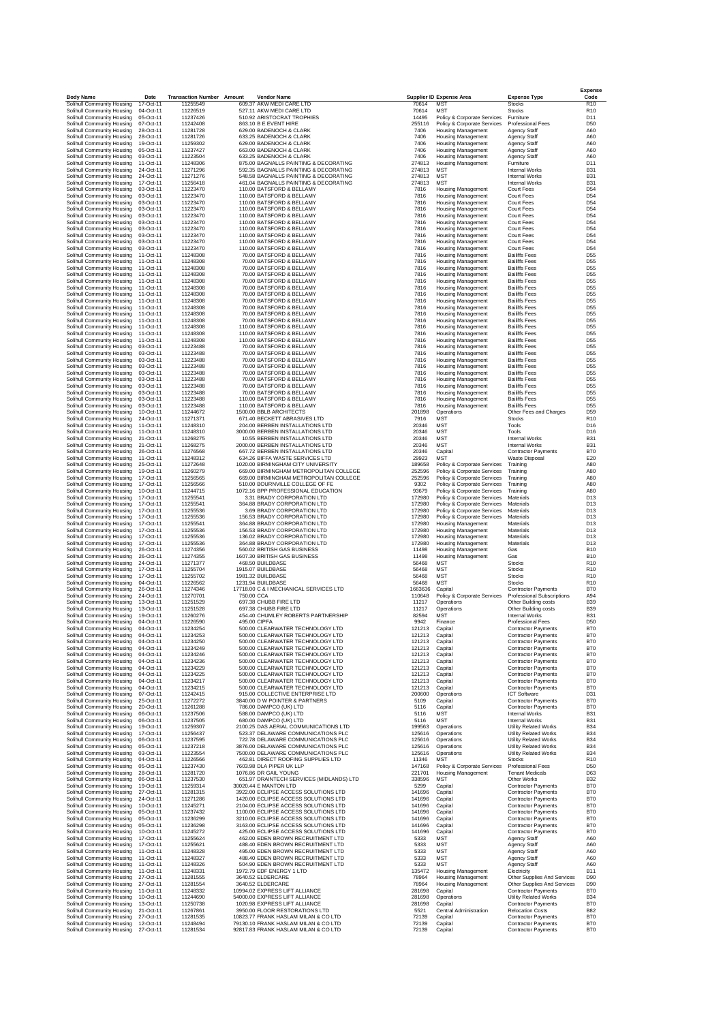| <b>Body Name</b>                                         | Date                                | <b>Transaction Number Amount</b> | <b>Vendor Name</b>                                                             |                  | <b>Supplier ID Expense Area</b>                            | <b>Expense Type</b>                                       | <b>Expense</b><br>Code             |
|----------------------------------------------------------|-------------------------------------|----------------------------------|--------------------------------------------------------------------------------|------------------|------------------------------------------------------------|-----------------------------------------------------------|------------------------------------|
| Solihull Community Housing                               | 17-Oct-11                           | 11255549                         | 609.37 AKW MEDI CARE LTD                                                       | 70614            | <b>MST</b>                                                 | Stocks                                                    | R <sub>10</sub>                    |
| Solihull Community Housing<br>Solihull Community Housing | 04-Oct-11<br>05-Oct-11              | 11226519<br>11237426             | 527.11 AKW MEDI CARE LTD<br>510.92 ARISTOCRAT TROPHIES                         | 70614<br>14495   | <b>MST</b><br>Policy & Corporate Services                  | <b>Stocks</b><br>Furniture                                | R <sub>10</sub><br>D11             |
| Solihull Community Housing                               | 07-Oct-11                           | 11242408                         | 863.10 B E EVENT HIRE                                                          | 255116           | Policy & Corporate Services                                | Professional Fees                                         | D50                                |
| Solihull Community Housing<br>Solihull Community Housing | 28-Oct-11<br>28-Oct-11              | 11281728<br>11281726             | 629.00 BADENOCH & CLARK<br>633.25 BADENOCH & CLARK                             | 7406<br>7406     | <b>Housing Management</b><br><b>Housing Management</b>     | Agency Staff<br>Agency Staff                              | A60<br>A60                         |
| Solihull Community Housing                               | 19-Oct-11<br>05-Oct-11              | 11259302<br>11237427             | 629.00 BADENOCH & CLARK<br>663.00 BADENOCH & CLARK                             | 7406<br>7406     | Housing Management                                         | <b>Agency Staff</b>                                       | A60<br>A60                         |
| Solihull Community Housing<br>Solihull Community Housing | 03-Oct-11                           | 11223504                         | 633.25 BADENOCH & CLARK                                                        | 7406             | Housing Management<br><b>Housing Management</b>            | Agency Staff<br>Agency Staff                              | A60                                |
| Solihull Community Housing                               | 11-Oct-11                           | 11248306                         | 875.00 BAGNALLS PAINTING & DECORATING<br>592.35 BAGNALLS PAINTING & DECORATING | 274813<br>274813 | <b>Housing Management</b><br><b>MST</b>                    | Furniture                                                 | D11<br><b>B31</b>                  |
| Solihull Community Housing<br>Solihull Community Housing | 24-Oct-11<br>24-Oct-11              | 11271296<br>11271276             | 548.58 BAGNALLS PAINTING & DECORATING                                          | 274813           | MST                                                        | <b>Internal Works</b><br>Internal Works                   | <b>B31</b>                         |
| Solihull Community Housing                               | 17-Oct-11                           | 11256418                         | 461.04 BAGNALLS PAINTING & DECORATING                                          | 274813           | <b>MST</b>                                                 | <b>Internal Works</b>                                     | <b>B31</b>                         |
| Solihull Community Housing<br>Solihull Community Housing | 03-Oct-11<br>03-Oct-11              | 11223470<br>11223470             | 110.00 BATSFORD & BELLAMY<br>110.00 BATSFORD & BELLAMY                         | 7816<br>7816     | <b>Housing Management</b><br>Housing Management            | Court Fees<br><b>Court Fees</b>                           | D54<br>D <sub>54</sub>             |
| Solihull Community Housing                               | 03-Oct-11                           | 11223470                         | 110.00 BATSFORD & BELLAMY                                                      | 7816             | <b>Housing Management</b>                                  | Court Fees                                                | D <sub>54</sub>                    |
| Solihull Community Housing<br>Solihull Community Housing | 03-Oct-11<br>03-Oct-11              | 11223470<br>11223470             | 110.00 BATSFORD & BELLAMY<br>110.00 BATSFORD & BELLAMY                         | 7816<br>7816     | Housing Management<br><b>Housing Management</b>            | Court Fees<br><b>Court Fees</b>                           | D <sub>54</sub><br>D <sub>54</sub> |
| Solihull Community Housing                               | 03-Oct-11                           | 11223470                         | 110.00 BATSFORD & BELLAMY                                                      | 7816             | <b>Housing Management</b>                                  | <b>Court Fees</b>                                         | D54                                |
| Solihull Community Housing<br>Solihull Community Housing | 03-Oct-11<br>03-Oct-11              | 11223470<br>11223470             | 110.00 BATSFORD & BELLAMY<br>110.00 BATSFORD & BELLAMY                         | 7816<br>7816     | Housing Management<br><b>Housing Management</b>            | <b>Court Fees</b><br>Court Fees                           | D <sub>54</sub><br>D <sub>54</sub> |
| Solihull Community Housing                               | 03-Oct-11                           | 11223470                         | 110.00 BATSFORD & BELLAMY                                                      | 7816             | <b>Housing Management</b>                                  | Court Fees                                                | D <sub>54</sub>                    |
| Solihull Community Housing<br>Solihull Community Housing | 03-Oct-11<br>11-Oct-11              | 11223470<br>11248308             | 110.00 BATSFORD & BELLAMY<br>70.00 BATSFORD & BELLAMY                          | 7816<br>7816     | Housing Management<br><b>Housing Management</b>            | <b>Court Fees</b><br><b>Bailiffs Fees</b>                 | D <sub>54</sub><br>D <sub>55</sub> |
| Solihull Community Housing                               | 11-Oct-11                           | 11248308                         | 70.00 BATSFORD & BELLAMY                                                       | 7816<br>7816     | <b>Housing Management</b>                                  | <b>Bailiffs Fees</b><br><b>Bailiffs Fees</b>              | D <sub>55</sub><br>D <sub>55</sub> |
| Solihull Community Housing<br>Solihull Community Housing | 11-Oct-11<br>11-Oct-11              | 11248308<br>11248308             | 70.00 BATSFORD & BELLAMY<br>70.00 BATSFORD & BELLAMY                           | 7816             | <b>Housing Management</b><br>Housing Management            | <b>Bailiffs Fees</b>                                      | D <sub>55</sub>                    |
| Solihull Community Housing                               | 11-Oct-11<br>11-Oct-11              | 11248308<br>11248308             | 70.00 BATSFORD & BELLAMY<br>70.00 BATSFORD & BELLAMY                           | 7816<br>7816     | <b>Housing Management</b>                                  | <b>Bailiffs Fees</b><br><b>Bailiffs Fees</b>              | D <sub>55</sub><br>D <sub>55</sub> |
| Solihull Community Housing<br>Solihull Community Housing | 11-Oct-11                           | 11248308                         | 70.00 BATSFORD & BELLAMY                                                       | 7816             | <b>Housing Management</b><br><b>Housing Management</b>     | <b>Bailiffs Fees</b>                                      | D <sub>55</sub>                    |
| Solihull Community Housing                               | 11-Oct-11                           | 11248308                         | 70.00 BATSFORD & BELLAMY                                                       | 7816             | <b>Housing Management</b>                                  | <b>Bailiffs Fees</b>                                      | D <sub>55</sub>                    |
| Solihull Community Housing<br>Solihull Community Housing | 11-Oct-11<br>11-Oct-11              | 11248308<br>11248308             | 70.00 BATSFORD & BELLAMY<br>70.00 BATSFORD & BELLAMY                           | 7816<br>7816     | <b>Housing Management</b><br>Housing Management            | <b>Bailiffs Fees</b><br><b>Bailiffs Fees</b>              | D <sub>55</sub><br>D <sub>55</sub> |
| Solihull Community Housing                               | 11-Oct-11                           | 11248308                         | 70.00 BATSFORD & BELLAMY<br>110.00 BATSFORD & BELLAMY                          | 7816<br>7816     | <b>Housing Management</b>                                  | <b>Bailiffs Fees</b>                                      | D <sub>55</sub><br>D <sub>55</sub> |
| Solihull Community Housing<br>Solihull Community Housing | 11-Oct-11<br>11-Oct-11              | 11248308<br>11248308             | 110.00 BATSFORD & BELLAMY                                                      | 7816             | <b>Housing Management</b><br><b>Housing Management</b>     | <b>Bailiffs Fees</b><br><b>Bailiffs Fees</b>              | D <sub>55</sub>                    |
| Solihull Community Housing                               | 11-Oct-11<br>03-Oct-11              | 11248308<br>11223488             | 110.00 BATSFORD & BELLAMY<br>70.00 BATSFORD & BELLAMY                          | 7816<br>7816     | Housing Management                                         | <b>Bailiffs Fees</b><br><b>Bailiffs Fees</b>              | D <sub>55</sub><br>D <sub>55</sub> |
| Solihull Community Housing<br>Solihull Community Housing | 03-Oct-11                           | 11223488                         | 70.00 BATSFORD & BELLAMY                                                       | 7816             | Housing Management<br><b>Housing Management</b>            | <b>Bailiffs Fees</b>                                      | D55                                |
| Solihull Community Housing<br>Solihull Community Housing | 03-Oct-11                           | 11223488<br>11223488             | 70.00 BATSFORD & BELLAMY                                                       | 7816             | <b>Housing Management</b>                                  | <b>Bailiffs Fees</b>                                      | D <sub>55</sub>                    |
| Solihull Community Housing                               | 03-Oct-11<br>03-Oct-11              | 11223488                         | 70.00 BATSFORD & BELLAMY<br>70.00 BATSFORD & BELLAMY                           | 7816<br>7816     | <b>Housing Management</b><br>Housing Management            | <b>Bailiffs Fees</b><br><b>Bailiffs Fees</b>              | D <sub>55</sub><br>D <sub>55</sub> |
| Solihull Community Housing                               | 03-Oct-11                           | 11223488                         | 70.00 BATSFORD & BELLAMY                                                       | 7816             | <b>Housing Management</b>                                  | <b>Bailiffs Fees</b>                                      | D <sub>55</sub>                    |
| Solihull Community Housing<br>Solihull Community Housing | 03-Oct-11<br>03-Oct-11              | 11223488<br>11223488             | 70.00 BATSFORD & BELLAMY<br>70.00 BATSFORD & BELLAMY                           | 7816<br>7816     | <b>Housing Management</b><br>Housing Management            | <b>Bailiffs Fees</b><br><b>Bailiffs Fees</b>              | D <sub>55</sub><br>D <sub>55</sub> |
| Solihull Community Housing                               | 03-Oct-11                           | 11223488                         | 110.00 BATSFORD & BELLAMY                                                      | 7816             | Housing Management                                         | <b>Bailiffs Fees</b>                                      | D <sub>55</sub>                    |
| Solihull Community Housing<br>Solihull Community Housing | 03-Oct-11<br>$10 - \text{Oct} - 11$ | 11223488<br>11244672             | 110.00 BATSFORD & BELLAMY<br>1500.00 BBLB ARCHITECTS                           | 7816<br>201898   | Housing Management<br>Operations                           | <b>Bailiffs Fees</b><br>Other Fees and Charges            | D <sub>55</sub><br>D59             |
| Solihull Community Housing                               | 24-Oct-11                           | 11271371                         | 671.40 BECKETT ABRASIVES LTD                                                   | 7916             | <b>MST</b>                                                 | Stocks                                                    | R <sub>10</sub>                    |
| Solihull Community Housing<br>Solihull Community Housing | 11-Oct-11<br>11-Oct-11              | 11248310<br>11248310             | 204.00 BERBEN INSTALLATIONS LTD<br>3000.00 BERBEN INSTALLATIONS LTD            | 20346<br>20346   | <b>MST</b><br><b>MST</b>                                   | Tools<br>Tools                                            | D <sub>16</sub><br>D16             |
| Solihull Community Housing                               | 21-Oct-11                           | 11268275                         | 10.55 BERBEN INSTALLATIONS LTD                                                 | 20346            | <b>MST</b>                                                 | Internal Works                                            | <b>B31</b>                         |
| Solihull Community Housing<br>Solihull Community Housing | 21-Oct-11<br>26-Oct-11              | 11268275<br>11276568             | 2000.00 BERBEN INSTALLATIONS LTD<br>667.72 BERBEN INSTALLATIONS LTD            | 20346<br>20346   | <b>MST</b><br>Capital                                      | <b>Internal Works</b><br><b>Contractor Payments</b>       | <b>B31</b><br><b>B70</b>           |
| Solihull Community Housing                               | 11-Oct-11                           | 11248312                         | 634.26 BIFFA WASTE SERVICES LTD                                                | 29923            | MST                                                        | <b>Waste Disposal</b>                                     | E20                                |
| Solihull Community Housing<br>Solihull Community Housing | 25-Oct-11<br>19-Oct-11              | 11272648<br>11260279             | 1020.00 BIRMINGHAM CITY UNIVERSITY<br>669.00 BIRMINGHAM METROPOLITAN COLLEGE   | 189658<br>252596 | Policy & Corporate Services<br>Policy & Corporate Services | Training<br>Training                                      | A80<br>A80                         |
| Solihull Community Housing                               | 17-Oct-11                           | 11256565                         | 669.00 BIRMINGHAM METROPOLITAN COLLEGE                                         | 252596           | Policy & Corporate Services                                | Training                                                  | A80                                |
| Solihull Community Housing<br>Solihull Community Housing | 17-Oct-11<br>10-Oct-11              | 11256566<br>11244715             | 510.00 BOURNVILLE COLLEGE OF FE<br>1072.16 BPP PROFESSIONAL EDUCATION          | 9302<br>93679    | Policy & Corporate Services<br>Policy & Corporate Services | Training<br>Training                                      | A80<br>A80                         |
| Solihull Community Housing                               | 17-Oct-11                           | 11255541                         | 3.31 BRADY CORPORATION LTD                                                     | 172980           | Policy & Corporate Services                                | Materials                                                 | D13                                |
| Solihull Community Housing<br>Solihull Community Housing | 17-Oct-11<br>17-Oct-11              | 11255541<br>11255536             | 364.88 BRADY CORPORATION LTD<br>3.69 BRADY CORPORATION LTD                     | 172980<br>172980 | Policy & Corporate Services<br>Policy & Corporate Services | Materials<br>Materials                                    | D13<br>D13                         |
| Solihull Community Housing                               | 17-Oct-11                           | 11255536                         | 156.53 BRADY CORPORATION LTD                                                   | 172980           | Policy & Corporate Services                                | Materials                                                 | D13                                |
| Solihull Community Housing<br>Solihull Community Housing | 17-Oct-11<br>17-Oct-11              | 11255541<br>11255536             | 364.88 BRADY CORPORATION LTD<br>156.53 BRADY CORPORATION LTD                   | 172980<br>172980 | <b>Housing Management</b><br><b>Housing Management</b>     | Materials<br>Materials                                    | D <sub>13</sub><br>D13             |
| Solihull Community Housing                               | 17-Oct-11                           | 11255536                         | 136.02 BRADY CORPORATION LTD                                                   | 172980           | Housing Management                                         | Materials                                                 | D13                                |
| Solihull Community Housing<br>Solihull Community Housing | 17-Oct-11<br>26-Oct-11              | 11255536<br>11274356             | 364.88 BRADY CORPORATION LTD<br>560.02 BRITISH GAS BUSINESS                    | 172980<br>11498  | <b>Housing Management</b><br><b>Housing Management</b>     | Materials<br>Gas                                          | D13<br><b>B10</b>                  |
| Solihull Community Housing                               | 26-Oct-11                           | 11274355<br>11271377             | 1607.30 BRITISH GAS BUSINESS                                                   | 11498            | <b>Housing Management</b>                                  | Gas                                                       | <b>B10</b>                         |
| Solihull Community Housing<br>Solihull Community Housing | 24-Oct-11<br>17-Oct-11              | 11255704                         | 468.50 BUILDBASE<br>1915.07 BUILDBASE                                          | 56468<br>56468   | <b>MST</b><br><b>MST</b>                                   | <b>Stocks</b><br><b>Stocks</b>                            | R <sub>10</sub><br>R <sub>10</sub> |
| Solihull Community Housing                               | 17-Oct-11<br>04-Oct-11              | 11255702<br>11226562             | 1981.32 BUILDBASE<br>1231.94 BUILDBASE                                         | 56468            | <b>MST</b>                                                 | Stocks                                                    | R <sub>10</sub>                    |
| Solihull Community Housing<br>Solihull Community Housing | 26-Oct-11                           | 11274346                         | 17718.00 C & I MECHANICAL SERVICES LTD                                         | 56468<br>1663636 | <b>MST</b><br>Capital                                      | Stocks<br><b>Contractor Payments</b>                      | R <sub>10</sub><br><b>B70</b>      |
| Solihull Community Housing<br>Solihull Community Housing | 24-Oct-11<br>13-Oct-11              | 11270701<br>11251529             | 750.00 CCA<br>697.38 CHUBB FIRE LTD                                            | 110648<br>11217  | Policy & Corporate Services<br>Operations                  | <b>Professional Subscriptions</b><br>Other Building costs | A94<br><b>B39</b>                  |
| Solihull Community Housing                               | 13-Oct-11                           | 11251528                         | 697.38 CHUBB FIRE LTD                                                          | 11217            | Operations                                                 | Other Building costs                                      | <b>B39</b>                         |
| Solihull Community Housing                               | 19-Oct-11<br>04-Oct-11              | 11260276<br>11226590             | 454.40 CHUMLEY ROBERTS PARTNERSHIP<br>495.00 CIPFA                             | 82594<br>9942    | <b>MST</b><br>Finance                                      | <b>Internal Works</b><br><b>Professional Fees</b>         | <b>B31</b><br>D <sub>50</sub>      |
| Solihull Community Housing<br>Solihull Community Housing | 04-Oct-11                           | 11234254                         | 500.00 CLEARWATER TECHNOLOGY LTD                                               | 121213           | Capital                                                    | <b>Contractor Payments</b>                                | <b>B70</b>                         |
| Solihull Community Housing<br>Solihull Community Housing | 04-Oct-11<br>04-Oct-11              | 11234253<br>11234250             | 500.00 CLEARWATER TECHNOLOGY LTD<br>500.00 CLEARWATER TECHNOLOGY LTD           | 121213<br>121213 | Capital<br>Capital                                         | <b>Contractor Payments</b><br><b>Contractor Payments</b>  | <b>B70</b><br><b>B70</b>           |
| Solihull Community Housing                               | 04-Oct-11                           | 11234249                         | 500.00 CLEARWATER TECHNOLOGY LTD                                               | 121213           | Capital                                                    | <b>Contractor Payments</b>                                | <b>B70</b>                         |
| Solihull Community Housing<br>Solihull Community Housing | 04-Oct-11<br>04-Oct-11              | 11234246<br>11234236             | 500.00 CLEARWATER TECHNOLOGY LTD<br>500.00 CLEARWATER TECHNOLOGY LTD           | 121213<br>121213 | Capital<br>Capital                                         | <b>Contractor Payments</b><br><b>Contractor Payments</b>  | <b>B70</b><br><b>B70</b>           |
| Solihull Community Housing                               | 04-Oct-11                           | 11234229                         | 500.00 CLEARWATER TECHNOLOGY LTD                                               | 121213           | Capital                                                    | <b>Contractor Payments</b>                                | <b>B70</b>                         |
| Solihull Community Housing<br>Solihull Community Housing | 04-Oct-11<br>04-Oct-11              | 11234225<br>11234217             | 500.00 CLEARWATER TECHNOLOGY LTD<br>500.00 CLEARWATER TECHNOLOGY LTD           | 121213<br>121213 | Capital<br>Capital                                         | <b>Contractor Payments</b><br><b>Contractor Payments</b>  | <b>B70</b><br><b>B70</b>           |
| Solihull Community Housing                               | 04-Oct-11                           | 11234215                         | 500.00 CLEARWATER TECHNOLOGY LTD                                               | 121213           | Capital                                                    | <b>Contractor Payments</b>                                | <b>B70</b>                         |
| Solihull Community Housing<br>Solihull Community Housing | 07-Oct-11<br>25-Oct-11              | 11242415<br>11272272             | 915.00 COLLECTIVE ENTERPRISE LTD<br>3840.00 D W POINTER & PARTNERS             | 200600<br>5109   | Operations<br>Capital                                      | <b>ICT Software</b><br><b>Contractor Payments</b>         | D31<br><b>B70</b>                  |
| Solihull Community Housing                               | 20-Oct-11                           | 11261288                         | 786.00 DAMPCO (UK) LTD                                                         | 5116             | Capital                                                    | <b>Contractor Payments</b>                                | <b>B70</b>                         |
| Solihull Community Housing<br>Solihull Community Housing | 06-Oct-11<br>06-Oct-11              | 11237506<br>11237505             | 588.00 DAMPCO (UK) LTD<br>680.00 DAMPCO (UK) LTD                               | 5116<br>5116     | <b>MST</b><br><b>MST</b>                                   | Internal Works<br><b>Internal Works</b>                   | <b>B31</b><br><b>B31</b>           |
| Solihull Community Housing                               | 19-Oct-11                           | 11259307                         | 2100.25 DAS AERIAL COMMUNICATIONS LTD                                          | 199563           | Operations                                                 | <b>Utility Related Works</b>                              | <b>B34</b>                         |
| Solihull Community Housing<br>Solihull Community Housing | 17-Oct-11<br>06-Oct-11              | 11256437<br>11237595             | 523.37 DELAWARE COMMUNICATIONS PLC<br>722.78 DELAWARE COMMUNICATIONS PLC       | 125616<br>125616 | Operations<br>Operations                                   | <b>Utility Related Works</b><br>Utility Related Works     | <b>B34</b><br><b>B34</b>           |
| Solihull Community Housing                               | 05-Oct-11                           | 11237218                         | 3876.00 DELAWARE COMMUNICATIONS PLC                                            | 125616           | Operations                                                 | Utility Related Works                                     | <b>B34</b>                         |
| Solihull Community Housing<br>Solihull Community Housing | 03-Oct-11<br>04-Oct-11              | 11223554<br>11226566             | 7500.00 DELAWARE COMMUNICATIONS PLC<br>462.81 DIRECT ROOFING SUPPLIES LTD      | 125616<br>11346  | Operations<br><b>MST</b>                                   | Utility Related Works<br><b>Stocks</b>                    | <b>B34</b><br>R <sub>10</sub>      |
| Solihull Community Housing                               | 05-Oct-11                           | 11237430                         | 7603.98 DLA PIPER UK LLP                                                       | 147168           | Policy & Corporate Services                                | Professional Fees                                         | D <sub>50</sub>                    |
| Solihull Community Housing<br>Solihull Community Housing | 28-Oct-11<br>06-Oct-11              | 11281720<br>11237530             | 1076.86 DR GAIL YOUNG<br>651.97 DRAINTECH SERVICES (MIDLANDS) LTD              | 221701<br>338596 | <b>Housing Management</b><br><b>MST</b>                    | <b>Tenant Medicals</b><br>Other Works                     | D63<br><b>B32</b>                  |
| Solihull Community Housing                               | 19-Oct-11                           | 11259314                         | 30020.44 E MANTON LTD                                                          | 5299             | Capital                                                    | Contractor Payments                                       | <b>B70</b>                         |
| Solihull Community Housing<br>Solihull Community Housing | 27-Oct-11<br>24-Oct-11              | 11281315<br>11271286             | 3922.00 ECLIPSE ACCESS SOLUTIONS LTD<br>1420.00 ECLIPSE ACCESS SOLUTIONS LTD   | 141696<br>141696 | Capital<br>Capital                                         | <b>Contractor Payments</b><br><b>Contractor Payments</b>  | <b>B70</b><br><b>B70</b>           |
| Solihull Community Housing                               | 10-Oct-11                           | 11245271                         | 2104.00 ECLIPSE ACCESS SOLUTIONS LTD                                           | 141696           | Capital                                                    | <b>Contractor Payments</b>                                | <b>B70</b>                         |
| Solihull Community Housing<br>Solihull Community Housing | 05-Oct-11<br>05-Oct-11              | 11237432<br>11236299             | 1100.00 ECLIPSE ACCESS SOLUTIONS LTD<br>3210.00 ECLIPSE ACCESS SOLUTIONS LTD   | 141696<br>141696 | Capital<br>Capital                                         | <b>Contractor Payments</b><br><b>Contractor Payments</b>  | <b>B70</b><br><b>B70</b>           |
| Solihull Community Housing                               | 05-Oct-11                           | 11236298                         | 3163.00 ECLIPSE ACCESS SOLUTIONS LTD                                           | 141696           | Capital                                                    | <b>Contractor Payments</b>                                | <b>B70</b>                         |
| Solihull Community Housing<br>Solihull Community Housing | 10-Oct-11<br>17-Oct-11              | 11245272<br>11255624             | 425.00 ECLIPSE ACCESS SOLUTIONS LTD<br>462.00 EDEN BROWN RECRUITMENT LTD       | 141696<br>5333   | Capital<br><b>MST</b>                                      | <b>Contractor Payments</b><br><b>Agency Staff</b>         | <b>B70</b><br>A60                  |
| Solihull Community Housing                               | 17-Oct-11                           | 11255621                         | 488.40 EDEN BROWN RECRUITMENT LTD                                              | 5333             | <b>MST</b>                                                 | <b>Agency Staff</b>                                       | A60                                |
| Solihull Community Housing<br>Solihull Community Housing | 11-Oct-11<br>11-Oct-11              | 11248328<br>11248327             | 495.00 EDEN BROWN RECRUITMENT LTD<br>488.40 EDEN BROWN RECRUITMENT LTD         | 5333<br>5333     | <b>MST</b><br><b>MST</b>                                   | Agency Staff<br><b>Agency Staff</b>                       | A60<br>A60                         |
| Solihull Community Housing                               | 11-Oct-11                           | 11248326                         | 504.90 EDEN BROWN RECRUITMENT LTD                                              | 5333             | <b>MST</b>                                                 | Agency Staff                                              | A60                                |
| Solihull Community Housing<br>Solihull Community Housing | 11-Oct-11<br>27-Oct-11              | 11248331<br>11281555             | 1972.79 EDF ENERGY 1 LTD<br>3640.52 ELDERCARE                                  | 135472<br>78964  | Housing Management<br><b>Housing Management</b>            | Electricity<br>Other Supplies And Services                | <b>B11</b><br>D90                  |
| Solihull Community Housing                               | 27-Oct-11                           | 11281554                         | 3640.52 ELDERCARE                                                              | 78964            | <b>Housing Management</b>                                  | Other Supplies And Services                               | D90                                |
| Solihull Community Housing<br>Solihull Community Housing | 11-Oct-11<br>10-Oct-11              | 11248332<br>11244690             | 10994.02 EXPRESS LIFT ALLIANCE<br>54000.00 EXPRESS LIFT ALLIANCE               | 281698<br>281698 | Capital<br>Operations                                      | <b>Contractor Payments</b><br>Utility Related Works       | <b>B70</b><br><b>B34</b>           |
| Solihull Community Housing                               | 13-Oct-11                           | 11250738                         | 1020.98 EXPRESS LIFT ALLIANCE                                                  | 281698           | Capital                                                    | <b>Contractor Payments</b>                                | <b>B70</b>                         |
| Solihull Community Housing<br>Solihull Community Housing | 21-Oct-11<br>27-Oct-11              | 11267861<br>11281535             | 3950.00 FLOOR RESTORATIONS LTD<br>10823.77 FRANK HASLAM MILAN & CO LTD         | 5521<br>72139    | Central Administration<br>Capital                          | <b>Relocation Costs</b><br>Contractor Payments            | <b>B82</b><br><b>B70</b>           |
| Solihull Community Housing                               | 12-Oct-11                           | 11248494                         | 79130.10 FRANK HASLAM MILAN & CO LTD                                           | 72139            | Capital                                                    | <b>Contractor Payments</b>                                | <b>B70</b>                         |
| Solihull Community Housing                               | 27-Oct-11                           | 11281534                         | 92817.83 FRANK HASLAM MILAN & CO LTD                                           | 72139            | Capital                                                    | <b>Contractor Payments</b>                                | <b>B70</b>                         |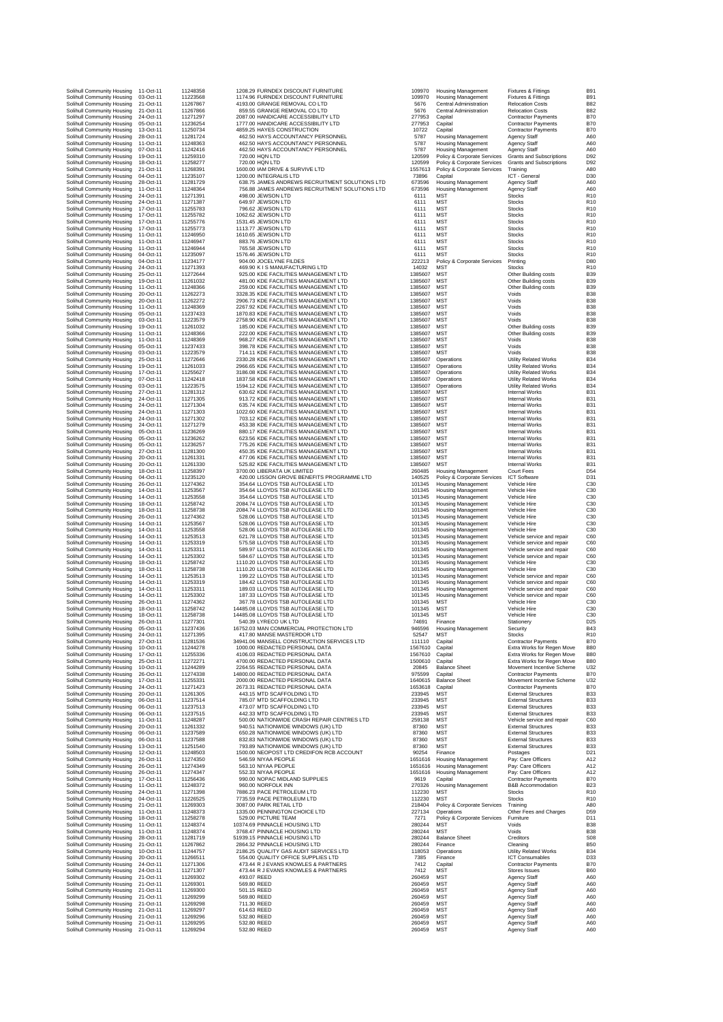| Solihull Community Housing<br>Solihull Community Housing | 11-Oct-11<br>03-Oct-11 | 11248358<br>11223568 | 1208.29 FURNDEX DISCOUNT FURNITURE<br>1174.96 FURNDEX DISCOUNT FURNITURE                         | 109970<br>109970   | Housing Management<br><b>Housing Management</b>            | <b>Fixtures &amp; Fittings</b>                              | <b>B91</b><br><b>B91</b>                                                            |
|----------------------------------------------------------|------------------------|----------------------|--------------------------------------------------------------------------------------------------|--------------------|------------------------------------------------------------|-------------------------------------------------------------|-------------------------------------------------------------------------------------|
| Solihull Community Housing                               | 21-Oct-11              | 11267867             | 4193.00 GRANGE REMOVAL CO LTD                                                                    | 5676               | Central Administration                                     | <b>Fixtures &amp; Fittings</b><br><b>Relocation Costs</b>   | <b>B82</b>                                                                          |
| Solihull Community Housing                               | 21-Oct-11              | 11267866             | 859.55 GRANGE REMOVAL CO LTD                                                                     | 5676               | Central Administration                                     | <b>Relocation Costs</b>                                     | <b>B82</b>                                                                          |
| Solihull Community Housing<br>Solihull Community Housing | 24-Oct-11<br>05-Oct-11 | 11271297<br>11236254 | 2087.00 HANDICARE ACCESSIBILITY LTD<br>1777.00 HANDICARE ACCESSIBILITY LTD                       | 277953<br>277953   | Capital<br>Capital                                         | <b>Contractor Payments</b><br><b>Contractor Payments</b>    | B70<br>B70                                                                          |
| Solihull Community Housing                               | 13-Oct-11              | 11250734             | 4859.25 HAYES CONSTRUCTION                                                                       | 10722              | Capital                                                    | <b>Contractor Payments</b>                                  | <b>B70</b>                                                                          |
| Solihull Community Housing<br>Solihull Community Housing | 28-Oct-11<br>11-Oct-11 | 11281724<br>11248363 | 462.50 HAYS ACCOUNTANCY PERSONNEL<br>462.50 HAYS ACCOUNTANCY PERSONNEL                           | 5787<br>5787       | <b>Housing Management</b><br>Housing Management            | Agency Staff<br>Agency Staff                                | A60<br>A60                                                                          |
| Solihull Community Housing                               | 07-Oct-11              | 11242416             | 462.50 HAYS ACCOUNTANCY PERSONNEL                                                                | 5787               | Housing Management                                         | Agency Staff                                                | A60                                                                                 |
| Solihull Community Housing<br>Solihull Community Housing | 19-Oct-11<br>18-Oct-11 | 11259310<br>11258277 | 720.00 HQN LTD<br>720.00 HQN LTD                                                                 | 120599<br>120599   | Policy & Corporate Services<br>Policy & Corporate Services | <b>Grants and Subscriptions</b><br>Grants and Subscriptions | D92<br>D92                                                                          |
| Solihull Community Housing                               | 21-Oct-11              | 11268391             | 1600.00 IAM DRIVE & SURVIVE LTD                                                                  | 1557613            | Policy & Corporate Services                                | Training                                                    | A <sub>8</sub> C                                                                    |
| Solihull Community Housing                               | 04-Oct-11              | 11235107             | 1200.00 INTEGRALIS LTD                                                                           | 73896              | Capital                                                    | ICT - General                                               | D <sub>30</sub>                                                                     |
| Solihull Community Housing<br>Solihull Community Housing | 28-Oct-11<br>11-Oct-11 | 11281729<br>11248364 | 638.75 JAMES ANDREWS RECRUITMENT SOLUTIONS LTD<br>756.88 JAMES ANDREWS RECRUITMENT SOLUTIONS LTD | 673596<br>673596   | Housing Management<br><b>Housing Management</b>            | Agency Staff<br>Agency Staff                                | A60<br>A60                                                                          |
| Solihull Community Housing                               | 24-Oct-11              | 11271391             | 498.00 JEWSON LTD                                                                                | 6111               | MST                                                        | Stocks                                                      | <b>R10</b>                                                                          |
| Solihull Community Housing<br>Solihull Community Housing | 24-Oct-11<br>17-Oct-11 | 11271387<br>11255783 | 649.97 JEWSON LTD<br>796.62 JEWSON LTD                                                           | 6111<br>6111       | <b>MST</b><br>MST                                          | <b>Stocks</b><br>Stocks                                     | R <sub>10</sub><br>R <sub>10</sub>                                                  |
| Solihull Community Housing                               | 17-Oct-11              | 11255782             | 1062.62 JEWSON LTD                                                                               | 6111               | <b>MST</b>                                                 | <b>Stocks</b>                                               | R <sub>10</sub>                                                                     |
| Solihull Community Housing                               | 17-Oct-11<br>17-Oct-11 | 11255776             | 1531.45 JEWSON LTD                                                                               | 6111               | <b>MST</b>                                                 | <b>Stocks</b>                                               | R <sub>10</sub>                                                                     |
| Solihull Community Housing<br>Solihull Community Housing | 11-Oct-11              | 11255773<br>11246950 | 1113.77 JEWSON LTD<br>1610.65 JEWSON LTD                                                         | 6111<br>6111       | MST<br><b>MST</b>                                          | <b>Stocks</b><br><b>Stocks</b>                              | <b>R10</b><br>R <sub>10</sub>                                                       |
| Solihull Community Housing                               | 11-Oct-11              | 11246947             | 883.76 JEWSON LTD                                                                                | 6111               | <b>MST</b>                                                 | <b>Stocks</b>                                               | R <sub>10</sub>                                                                     |
| Solihull Community Housing<br>Solihull Community Housing | 11-Oct-11<br>04-Oct-11 | 11246944<br>11235097 | 765.58 JEWSON LTD<br>1576.46 JEWSON LTD                                                          | 6111<br>6111       | MST<br><b>MST</b>                                          | <b>Stocks</b><br><b>Stocks</b>                              | <b>R10</b><br>R <sub>10</sub>                                                       |
| Solihull Community Housing                               | 04-Oct-11              | 11234177             | 904.00 JOCELYNE FILDES                                                                           | 222213             | Policy & Corporate Services                                | Printing                                                    | D <sub>80</sub>                                                                     |
| Solihull Community Housing                               | 24-Oct-11              | 11271393             | 469.90 K I S MANUFACTURING LTD                                                                   | 14032              | <b>MST</b>                                                 | <b>Stocks</b>                                               | R <sub>10</sub><br>B <sub>39</sub>                                                  |
| Solihull Community Housing<br>Solihull Community Housing | 25-Oct-11<br>19-Oct-11 | 11272644<br>11261032 | 925.00 KDE FACILITIES MANAGEMENT LTD<br>481.00 KDE FACILITIES MANAGEMENT LTD                     | 1385607<br>1385607 | <b>MST</b><br>MST                                          | Other Building costs<br>Other Building costs                | <b>B39</b>                                                                          |
| Solihull Community Housing                               | 11-Oct-11              | 11248366             | 259.00 KDE FACILITIES MANAGEMENT LTD                                                             | 1385607            | <b>MST</b>                                                 | Other Building costs                                        | B <sub>39</sub>                                                                     |
| Solihull Community Housing<br>Solihull Community Housing | 20-Oct-11<br>20-Oct-11 | 11262273<br>11262272 | 3328.35 KDE FACILITIES MANAGEMENT LTD<br>2906.73 KDE FACILITIES MANAGEMENT LTD                   | 1385607<br>1385607 | <b>MST</b><br><b>MST</b>                                   | Voids<br>Voids                                              | B <sub>38</sub><br>B <sub>38</sub>                                                  |
| Solihull Community Housing                               | 11-Oct-11              | 11248369             | 2267.92 KDE FACILITIES MANAGEMENT LTD                                                            | 1385607            | <b>MST</b>                                                 | Voids                                                       | B38                                                                                 |
| Solihull Community Housing                               | 05-Oct-11              | 11237433             | 1870.83 KDE FACILITIES MANAGEMENT LTD                                                            | 1385607            | MST                                                        | Voids                                                       | <b>B38</b>                                                                          |
| Solihull Community Housing<br>Solihull Community Housing | 03-Oct-11<br>19-Oct-11 | 11223579<br>11261032 | 2758.90 KDE FACILITIES MANAGEMENT LTD<br>185.00 KDE FACILITIES MANAGEMENT LTD                    | 1385607<br>1385607 | <b>MST</b><br>MST                                          | Voids<br>Other Building costs                               | B <sub>38</sub><br>B <sub>39</sub>                                                  |
| Solihull Community Housing                               | 11-Oct-11              | 11248366             | 222.00 KDE FACILITIES MANAGEMENT LTD                                                             | 1385607            | <b>MST</b>                                                 | Other Building costs                                        | B <sub>39</sub>                                                                     |
| Solihull Community Housing<br>Solihull Community Housing | 11-Oct-11<br>05-Oct-11 | 11248369<br>11237433 | 968.27 KDE FACILITIES MANAGEMENT LTD<br>398.78 KDE FACILITIES MANAGEMENT LTD                     | 1385607<br>1385607 | MST<br>MST                                                 | Voids<br>Voids                                              | B <sub>38</sub><br><b>B38</b>                                                       |
| Solihull Community Housing                               | 03-Oct-11              | 11223579             | 714.11 KDE FACILITIES MANAGEMENT LTD                                                             | 1385607            | MS <sub>1</sub>                                            | Voids                                                       | B <sub>38</sub>                                                                     |
| Solihull Community Housing                               | 25-Oct-11              | 11272646             | 2330.28 KDE FACILITIES MANAGEMENT LTD                                                            | 1385607            | Operations                                                 | Utility Related Works                                       | <b>B34</b>                                                                          |
| Solihull Community Housing<br>Solihull Community Housing | 19-Oct-11<br>17-Oct-11 | 11261033<br>11255627 | 2966.65 KDE FACILITIES MANAGEMENT LTD<br>3186.08 KDE FACILITIES MANAGEMENT LTD                   | 1385607<br>1385607 | Operations<br>Operations                                   | Utility Related Works<br><b>Utility Related Works</b>       | <b>B34</b><br><b>B34</b>                                                            |
| Solihull Community Housing                               | 07-Oct-11              | 11242418             | 1837.58 KDE FACILITIES MANAGEMENT LTD                                                            | 1385607            | Operations                                                 | Utility Related Works                                       | <b>B34</b>                                                                          |
| Solihull Community Housing                               | 03-Oct-11              | 11223575             | 1594.12 KDE FACILITIES MANAGEMENT LTD                                                            | 1385607            | Operations                                                 | Utility Related Works                                       | <b>B34</b>                                                                          |
| Solihull Community Housing<br>Solihull Community Housing | 27-Oct-11<br>24-Oct-11 | 11281312<br>11271305 | 630.62 KDE FACILITIES MANAGEMENT LTD<br>913.72 KDE FACILITIES MANAGEMENT LTD                     | 1385607<br>1385607 | MST<br><b>MST</b>                                          | Internal Works<br>Internal Works                            | <b>B31</b><br><b>B31</b>                                                            |
| Solihull Community Housing                               | 24-Oct-11              | 11271304             | 635.74 KDE FACILITIES MANAGEMENT LTD                                                             | 1385607            | MST                                                        | <b>Internal Works</b>                                       | <b>B31</b>                                                                          |
| Solihull Community Housing<br>Solihull Community Housing | 24-Oct-11<br>24-Oct-11 | 11271303<br>11271302 | 1022.60 KDE FACILITIES MANAGEMENT LTD<br>703.12 KDE FACILITIES MANAGEMENT LTD                    | 1385607<br>1385607 | MST<br><b>MST</b>                                          | <b>Internal Works</b><br><b>Internal Works</b>              | <b>B31</b><br><b>B31</b>                                                            |
| Solihull Community Housing                               | 24-Oct-11              | 11271279             | 453.38 KDE FACILITIES MANAGEMENT LTD                                                             | 1385607            | MST                                                        | Internal Works                                              | <b>B31</b>                                                                          |
| Solihull Community Housing                               | 05-Oct-11              | 11236269             | 880.17 KDE FACILITIES MANAGEMENT LTD                                                             | 1385607            | <b>MST</b>                                                 | <b>Internal Works</b>                                       | <b>B31</b>                                                                          |
| Solihull Community Housing                               | 05-Oct-11<br>05-Oct-11 | 11236262<br>11236257 | 623.56 KDE FACILITIES MANAGEMENT LTD<br>775.26 KDE FACILITIES MANAGEMENT LTD                     | 1385607<br>1385607 | <b>MST</b><br><b>MST</b>                                   | <b>Internal Works</b><br><b>Internal Works</b>              | <b>B31</b><br><b>B31</b>                                                            |
| Solihull Community Housing<br>Solihull Community Housing | 27-Oct-11              | 11281300             | 450.35 KDE FACILITIES MANAGEMENT LTD                                                             | 1385607            | <b>MST</b>                                                 | <b>Internal Works</b>                                       | B <sub>3</sub>                                                                      |
| Solihull Community Housing                               | 20-Oct-11              | 11261331             | 477.06 KDE FACILITIES MANAGEMENT LTD                                                             | 1385607            | <b>MST</b>                                                 | Internal Works                                              | <b>B31</b>                                                                          |
| Solihull Community Housing<br>Solihull Community Housing | 20-Oct-11<br>18-Oct-11 | 11261330<br>11258397 | 525.82 KDE FACILITIES MANAGEMENT LTD<br>3700.00 LIBERATA UK LIMITED                              | 1385607<br>260485  | <b>MST</b><br><b>Housing Management</b>                    | <b>Internal Works</b><br>Court Fees                         | <b>B31</b><br>D <sub>54</sub>                                                       |
| Solihull Community Housing                               | 04-Oct-11              | 11235120             | 420.00 LISSON GROVE BENEFITS PROGRAMME LTD                                                       | 140525             | Policy & Corporate Services                                | <b>ICT Software</b>                                         | D31                                                                                 |
| Solihull Community Housing                               | 26-Oct-11              | 11274362             | 354.64 LLOYDS TSB AUTOLEASE LTD                                                                  | 101345             | <b>Housing Management</b>                                  | Vehicle Hire                                                | C3C                                                                                 |
| Solihull Community Housing<br>Solihull Community Housing | 14-Oct-11<br>14-Oct-11 | 11253567<br>11253558 | 354.64 LLOYDS TSB AUTOLEASE LTD<br>354.64 LLOYDS TSB AUTOLEASE LTD                               | 101345<br>101345   | Housing Management<br><b>Housing Management</b>            | Vehicle Hire<br>Vehicle Hire                                | C <sub>3</sub> C<br>C3C                                                             |
| Solihull Community Housing                               | 18-Oct-11              | 11258742             | 2084.74 LLOYDS TSB AUTOLEASE LTD                                                                 | 101345             | Housing Management                                         | Vehicle Hire                                                | C <sub>3</sub> C                                                                    |
| Solihull Community Housing<br>Solihull Community Housing | 18-Oct-11<br>26-Oct-11 | 11258738<br>11274362 | 2084.74 LLOYDS TSB AUTOLEASE LTD<br>528.06 LLOYDS TSB AUTOLEASE LTD                              | 101345<br>101345   | Housing Management<br>Housing Management                   | Vehicle Hire<br>Vehicle Hire                                | C3C<br>C3C                                                                          |
| Solihull Community Housing                               | 14-Oct-11              | 11253567             | 528.06 LLOYDS TSB AUTOLEASE LTD                                                                  | 101345             | Housing Management                                         | Vehicle Hire                                                | C <sub>3</sub> C                                                                    |
| Solihull Community Housing                               | 14-Oct-11              | 11253558             | 528.06 LLOYDS TSB AUTOLEASE LTD                                                                  | 101345             | <b>Housing Management</b>                                  | Vehicle Hire                                                | C3C                                                                                 |
| Solihull Community Housing<br>Solihull Community Housing | 14-Oct-11<br>14-Oct-11 | 11253513<br>11253319 | 621.78 LLOYDS TSB AUTOLEASE LTD<br>575.58 LLOYDS TSB AUTOLEASE LTD                               | 101345<br>101345   | Housing Management<br>Housing Management                   | Vehicle service and repair<br>Vehicle service and repair    | C <sub>6</sub> C<br>C <sub>6</sub> C                                                |
| Solihull Community Housing                               | 14-Oct-11              | 11253311             | 589.97 LLOYDS TSB AUTOLEASE LTD                                                                  | 101345             | Housing Management                                         | Vehicle service and repair                                  | C <sub>6</sub> C                                                                    |
| Solihull Community Housing                               | 14-Oct-11              | 11253302             | 584.67 LLOYDS TSB AUTOLEASE LTD                                                                  | 101345             | <b>Housing Management</b>                                  | Vehicle service and repair                                  | C <sub>6</sub> C                                                                    |
| Solihull Community Housing<br>Solihull Community Housing | 18-Oct-11<br>18-Oct-11 | 11258742<br>11258738 | 1110.20 LLOYDS TSB AUTOLEASE LTD<br>1110.20 LLOYDS TSB AUTOLEASE LTD                             | 101345<br>101345   | <b>Housing Management</b><br><b>Housing Management</b>     | Vehicle Hire<br>Vehicle Hire                                | C3C<br>C <sub>3</sub> C                                                             |
|                                                          |                        |                      |                                                                                                  |                    | Housing Management                                         | Vehicle service and repair                                  | C <sub>6</sub> C                                                                    |
| Solihull Community Housing                               | 14-Oct-11              | 11253513             | 199.22 LLOYDS TSB AUTOLEASE LTD                                                                  | 101345             |                                                            |                                                             |                                                                                     |
| Solihull Community Housing                               | 14-Oct-11              | 11253319             | 184.42 LLOYDS TSB AUTOLEASE LTD                                                                  | 101345             | Housing Management                                         | Vehicle service and repair                                  |                                                                                     |
| Solihull Community Housing<br>Solihull Community Housing | 14-Oct-11<br>14-Oct-11 | 11253311<br>11253302 | 189.03 LLOYDS TSB AUTOLEASE LTD<br>187.33 LLOYDS TSB AUTOLFASE LTD                               | 101345<br>101345   | Housing Management                                         | Vehicle service and repair<br>Vehicle service and repair    |                                                                                     |
| Solihull Community Housing                               | 26-Oct-11              | 11274362             | 367.78 LLOYDS TSB AUTOLEASE LTD                                                                  | 101345             | Housing Management<br>MST                                  | Vehicle Hire                                                | C <sub>6</sub> C<br>C <sub>6</sub> C<br>C <sub>6</sub> C<br>C <sub>3</sub> C        |
| Solihull Community Housing                               | 18-Oct-11              | 11258742             | 14485.08 LLOYDS TSB AUTOLEASE LTD                                                                | 101345             | MST                                                        | Vehicle Hire                                                | C3C                                                                                 |
| Solihull Community Housing<br>Solihull Community Housing | 18-Oct-11<br>26-Oct-11 | 11258738<br>11277301 | 14485.08 LLOYDS TSB AUTOLEASE LTD<br>540.39 LYRECO UK LTD                                        | 101345<br>74691    | <b>MST</b><br>Finance                                      | Vehicle Hire<br>Stationery                                  | C3C<br>D <sub>25</sub>                                                              |
| Solihull Community Housing                               | 05-Oct-11              | 11237436             | 16752.03 MAN COMMERCIAL PROTECTION LTD                                                           | 946596             | Housing Management                                         | Security                                                    |                                                                                     |
| Solihull Community Housing                               | 24-Oct-11<br>27-Oct-11 | 11271395<br>11281536 | 417.80 MANSE MASTERDOR LTD                                                                       | 52547<br>111110    | MS <sub>1</sub>                                            | Stocks                                                      | R <sub>1</sub>                                                                      |
| Solihull Community Housing<br>Solihull Community Housing | 10-Oct-11              | 11244278             | 34941.06 MANSELL CONSTRUCTION SERVICES LTD<br>1000.00 REDACTED PERSONAL DATA                     | 1567610            | Capital<br>Capital                                         | <b>Contractor Payments</b><br>Extra Works for Regen Move    |                                                                                     |
| Solihull Community Housing                               | 17-Oct-11              | 11255336             | 4106.03 REDACTED PERSONAL DATA                                                                   | 1567610            | Capital                                                    | Extra Works for Regen Move                                  |                                                                                     |
| Solihull Community Housing<br>Solihull Community Housing | 25-Oct-11<br>10-Oct-11 | 11272271<br>11244289 | 4700.00 REDACTED PERSONAL DATA<br>2264.55 REDACTED PERSONAL DATA                                 | 1500610<br>20845   | Capital<br><b>Balance Sheet</b>                            | Extra Works for Regen Move<br>Movement Incentive Scheme     | <b>B43</b><br>B70<br>B <sub>80</sub><br>B <sub>8</sub> C<br>B <sub>8</sub> C<br>U32 |
| Solihull Community Housing                               | 26-Oct-11              | 11274338             | 14800.00 REDACTED PERSONAL DATA                                                                  | 975599             | Capital                                                    | <b>Contractor Payments</b>                                  | B70                                                                                 |
| Solihull Community Housing<br>Solihull Community Housing | 17-Oct-11<br>24-Oct-11 | 11255331<br>11271423 | 2000.00 REDACTED PERSONAL DATA<br>2673.31 REDACTED PERSONAL DATA                                 | 1640615<br>1653618 | <b>Balance Sheet</b><br>Capital                            | Movement Incentive Scheme<br><b>Contractor Payments</b>     | U32<br>B70                                                                          |
| Solihull Community Housing                               | 20-Oct-11              | 11261305             | 443.15 MTD SCAFFOLDING LTD                                                                       | 233945             | <b>MST</b>                                                 | <b>External Structures</b>                                  | <b>B33</b>                                                                          |
| Solihull Community Housing                               | 06-Oct-11<br>06-Oct-11 | 11237514             | 785.07 MTD SCAFFOLDING LTD                                                                       | 233945             | <b>MST</b>                                                 | <b>External Structures</b>                                  | <b>B33</b><br>B33                                                                   |
| Solihull Community Housing<br>Solihull Community Housing | 06-Oct-11              | 11237513<br>11237515 | 473.07 MTD SCAFFOLDING LTD<br>442.33 MTD SCAFFOLDING LTD                                         | 233945<br>233945   | <b>MST</b><br>MST                                          | <b>External Structures</b><br><b>External Structures</b>    | <b>B33</b>                                                                          |
| Solihull Community Housing                               | 11-Oct-11              | 11248287             | 500.00 NATIONWIDE CRASH REPAIR CENTRES LTD                                                       | 259138             | MST                                                        | Vehicle service and repair                                  | C <sub>6</sub> C                                                                    |
| Solihull Community Housing<br>Solihull Community Housing | 20-Oct-11<br>06-Oct-11 | 11261332<br>11237589 | 940.51 NATIONWIDE WINDOWS (UK) LTD<br>650.28 NATIONWIDE WINDOWS (UK) LTD                         | 87360<br>87360     | <b>MST</b><br><b>MST</b>                                   | <b>External Structures</b><br><b>External Structures</b>    | <b>B33</b><br><b>B33</b>                                                            |
| Solihull Community Housing                               | 06-Oct-11              | 11237588             | 832.83 NATIONWIDE WINDOWS (UK) LTD                                                               | 87360              | <b>MST</b>                                                 | <b>External Structures</b>                                  | B33                                                                                 |
| Solihull Community Housing                               | 13-Oct-11              | 11251540             | 793.89 NATIONWIDE WINDOWS (UK) LTD                                                               | 87360              | <b>MST</b>                                                 | <b>External Structures</b>                                  | <b>B33</b>                                                                          |
| Solihull Community Housing<br>Solihull Community Housing | 12-Oct-11<br>26-Oct-11 | 11248503<br>11274350 | 1500.00 NEOPOST LTD CREDIFON RCB ACCOUNT<br>546.59 NIYAA PEOPLE                                  | 90254<br>1651616   | Finance<br><b>Housing Management</b>                       | Postages<br>Pay: Care Officers                              | D <sub>21</sub><br>A12                                                              |
| Solihull Community Housing                               | 26-Oct-11              | 11274349             | 563.10 NIYAA PEOPLE                                                                              | 1651616            | <b>Housing Management</b>                                  | Pay: Care Officers                                          | A12                                                                                 |
| Solihull Community Housing<br>Solihull Community Housing | 26-Oct-11              | 11274347             | 552.33 NIYAA PEOPLE                                                                              | 1651616<br>9619    | <b>Housing Management</b>                                  | Pay: Care Officers                                          | A12<br>B70                                                                          |
| Solihull Community Housing                               | 17-Oct-11<br>11-Oct-11 | 11256436<br>11248372 | 990.00 NOPAC MIDLAND SUPPLIES<br>960.00 NORFOLK INN                                              | 270326             | Capital<br><b>Housing Management</b>                       | <b>Contractor Payments</b><br><b>B&amp;B Accommodation</b>  | <b>B23</b>                                                                          |
| Solihull Community Housing                               | 24-Oct-11              | 11271398             | 7886.23 PACE PETROLEUM LTD                                                                       | 112230             | <b>MST</b>                                                 | <b>Stocks</b>                                               | R <sub>10</sub>                                                                     |
| Solihull Community Housing<br>Solihull Community Housing | 04-Oct-11<br>21-Oct-11 | 11226525<br>11269303 | 7735.59 PACE PETROLEUM LTD<br>3087.00 PARK RETAIL LTD                                            | 112230<br>218404   | <b>MST</b><br>Policy & Corporate Services                  | <b>Stocks</b><br>Training                                   | R <sub>10</sub><br>A <sub>8</sub> C                                                 |
| Solihull Community Housing                               | 11-Oct-11              | 11248373             | 1335.00 PENNINGTON CHOICE LTD                                                                    | 227134             | Operations                                                 | Other Fees and Charges                                      | D <sub>59</sub>                                                                     |
| Solihull Community Housing                               | 18-Oct-11              | 11258278             | 529.00 PICTURE TEAM                                                                              | 7271               | Policy & Corporate Services                                | Furniture                                                   | D11                                                                                 |
| Solihull Community Housing<br>Solihull Community Housing | 11-Oct-11<br>11-Oct-11 | 11248374<br>11248374 | 10374.69 PINNACLE HOUSING LTD<br>3768.47 PINNACLE HOUSING LTD                                    | 280244<br>280244   | <b>MST</b><br><b>MST</b>                                   | Voids<br>Voids                                              | B <sub>38</sub><br>B <sub>38</sub>                                                  |
| Solihull Community Housing                               | 28-Oct-11              | 11281719             | 51939.15 PINNACLE HOUSING LTD                                                                    | 280244             | <b>Balance Sheet</b>                                       | Creditors                                                   |                                                                                     |
| Solihull Community Housing                               | 21-Oct-11              | 11267862             | 2864.32 PINNACLE HOUSING LTD                                                                     | 280244             | Finance                                                    | Cleaning                                                    | <b>SOE</b><br>B <sub>5</sub> C                                                      |
| Solihull Community Housing<br>Solihull Community Housing | 10-Oct-11<br>20-Oct-11 | 11244757<br>11266511 | 2186.25 QUALITY GAS AUDIT SERVICES LTD<br>554.00 QUALITY OFFICE SUPPLIES LTD                     | 118053<br>7385     | Operations<br>Finance                                      | Utility Related Works<br><b>ICT Consumables</b>             | <b>B34</b><br>D33                                                                   |
| Solihull Community Housing                               | 24-Oct-11              | 11271306             | 473.44 R J EVANS KNOWLES & PARTNERS                                                              | 7412               | Capital                                                    | <b>Contractor Payments</b>                                  | B70                                                                                 |
| Solihull Community Housing<br>Solihull Community Housing | 24-Oct-11<br>21-Oct-11 | 11271307<br>11269302 | 473.44 R J EVANS KNOWLES & PARTNERS<br>493.07 REED                                               | 7412<br>260459     | MST<br><b>MST</b>                                          | <b>Stores Issues</b><br>Agency Staff                        | B <sub>6</sub> C<br>A60                                                             |
| Solihull Community Housing                               | 21-Oct-11              | 11269301             | 569.80 REED                                                                                      | 260459             | MST                                                        | Agency Staff                                                | A60                                                                                 |
| Solihull Community Housing                               | 21-Oct-11              | 11269300             | 501.15 REED                                                                                      | 260459             | <b>MST</b>                                                 | <b>Agency Staff</b>                                         | A <sub>6</sub> C                                                                    |
| Solihull Community Housing<br>Solihull Community Housing | 21-Oct-11<br>21-Oct-11 | 11269299<br>11269298 | 569.80 REED<br>711.30 REED                                                                       | 260459<br>260459   | <b>MST</b><br><b>MST</b>                                   | <b>Agency Staff</b><br>Agency Staff                         |                                                                                     |
| Solihull Community Housing                               | 21-Oct-11              | 11269297             | 614.63 REED                                                                                      | 260459             | MST                                                        | <b>Agency Staff</b>                                         | A60<br>A <sub>6</sub> C<br>A60                                                      |
| Solihull Community Housing<br>Solihull Community Housing | 21-Oct-11<br>21-Oct-11 | 11269296<br>11269295 | 532.80 REED<br>532.80 REED                                                                       | 260459             | MST<br><b>MST</b>                                          | Agency Staff                                                | A60<br>A <sub>6</sub> C                                                             |
| Solihull Community Housing                               | 21-Oct-11              | 11269294             | 532.80 REED                                                                                      | 260459<br>260459   | <b>MST</b>                                                 | Agency Staff<br>Agency Staff                                | A60                                                                                 |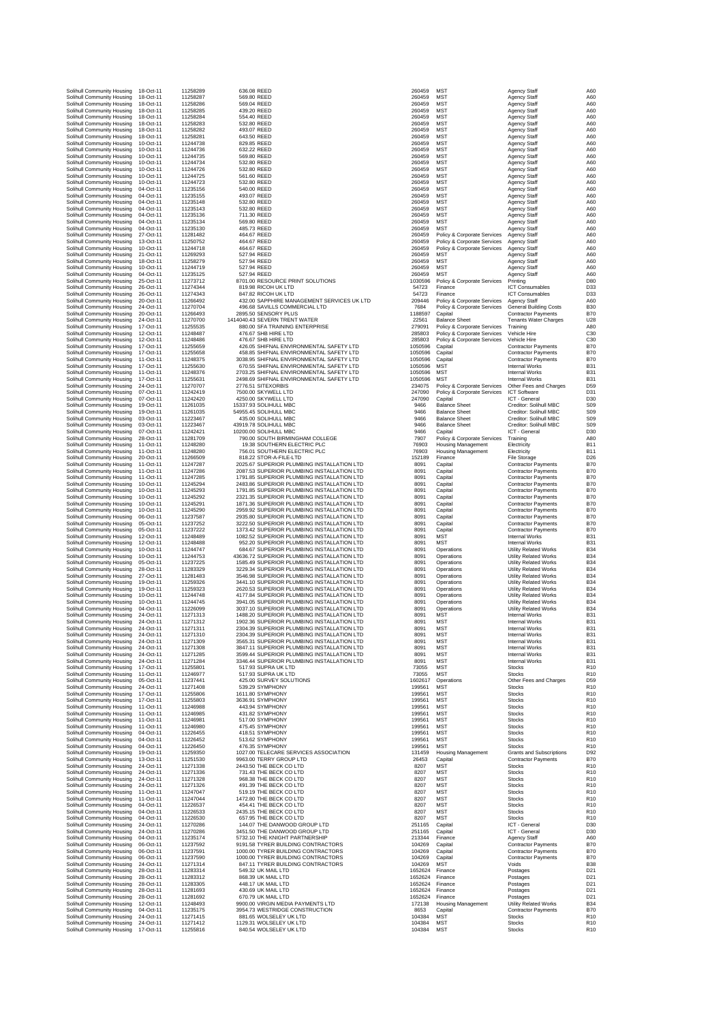| Solihull Community Housing<br>Solihull Community Housing | 18-Oct-11              | 11258289             |                                                                                          |                    |                                                            |                                                               |                                             |
|----------------------------------------------------------|------------------------|----------------------|------------------------------------------------------------------------------------------|--------------------|------------------------------------------------------------|---------------------------------------------------------------|---------------------------------------------|
|                                                          | 18-Oct-11              | 11258287             | 636.08 REED<br>569.80 REED                                                               | 260459<br>260459   | MST<br><b>MST</b>                                          | <b>Agency Staff</b><br><b>Agency Staff</b>                    | A60<br>A60                                  |
| Solihull Community Housing                               | 18-Oct-11              | 11258286             | 569.04 REED                                                                              | 260459             | <b>MST</b>                                                 | Agency Staff                                                  | A60                                         |
| Solihull Community Housing<br>Solihull Community Housing | 18-Oct-11<br>18-Oct-11 | 11258285<br>11258284 | 439.20 REED<br>554.40 REED                                                               | 260459<br>260459   | <b>MST</b><br><b>MST</b>                                   | <b>Agency Staff</b><br><b>Agency Staff</b>                    | A60<br>A60                                  |
| Solihull Community Housing                               | 18-Oct-11              | 11258283             | 532.80 REED                                                                              | 260459             | <b>MST</b>                                                 | Agency Staff                                                  | A60                                         |
| Solihull Community Housing<br>Solihull Community Housing | 18-Oct-11<br>18-Oct-11 | 11258282<br>11258281 | 493.07 REED<br>643.50 REED                                                               | 260459<br>260459   | <b>MST</b><br><b>MST</b>                                   | Agency Staff<br>Agency Staff                                  | A <sub>6</sub> C<br>A60                     |
| Solihull Community Housing                               | 10-Oct-11              | 11244738             | 829.85 REED                                                                              | 260459             | <b>MST</b>                                                 | <b>Agency Staff</b>                                           | A60                                         |
| Solihull Community Housing<br>Solihull Community Housing | 10-Oct-11<br>10-Oct-11 | 11244736<br>11244735 | 632.22 REED<br>569.80 REED                                                               | 260459<br>260459   | <b>MST</b><br><b>MST</b>                                   | <b>Agency Staff</b><br>Agency Staff                           | A60<br>A60                                  |
| Solihull Community Housing                               | 10-Oct-11              | 11244734             | 532.80 REED                                                                              | 260459             | <b>MST</b>                                                 | Agency Staff                                                  | A60                                         |
| Solihull Community Housing                               | 10-Oct-11<br>10-Oct-11 | 11244726<br>11244725 | 532.80 REED<br>561.60 REED                                                               | 260459             | <b>MST</b><br><b>MST</b>                                   | <b>Agency Staff</b><br><b>Agency Staff</b>                    | A60<br>A60                                  |
| Solihull Community Housing<br>Solihull Community Housing | 10-Oct-11              | 11244723             | 532.80 REED                                                                              | 260459<br>260459   | <b>MST</b>                                                 | <b>Agency Staff</b>                                           | A60                                         |
| Solihull Community Housing                               | 04-Oct-11              | 11235156             | 540.00 REED<br>493.07 REED                                                               | 260459             | <b>MST</b><br><b>MST</b>                                   | Agency Staff<br>Agency Staff                                  | A60<br>A <sub>6</sub> C                     |
| Solihull Community Housing<br>Solihull Community Housing | 04-Oct-11<br>04-Oct-11 | 11235155<br>11235148 | 532.80 REED                                                                              | 260459<br>260459   | <b>MST</b>                                                 | Agency Staff                                                  | A60                                         |
| Solihull Community Housing                               | 04-Oct-11              | 11235143             | 532.80 REED                                                                              | 260459             | <b>MST</b>                                                 | <b>Agency Staff</b>                                           | A <sub>6</sub> C                            |
| Solihull Community Housing<br>Solihull Community Housing | 04-Oct-11<br>04-Oct-11 | 11235136<br>11235134 | 711.30 REED<br>569.80 REED                                                               | 260459<br>260459   | <b>MST</b><br><b>MST</b>                                   | <b>Agency Staff</b><br>Agency Staff                           | A60<br>A60                                  |
| Solihull Community Housing                               | 04-Oct-11              | 11235130             | 485.73 REED                                                                              | 260459             | <b>MST</b>                                                 | Agency Staff                                                  | A60                                         |
| Solihull Community Housing<br>Solihull Community Housing | 27-Oct-11<br>13-Oct-11 | 11281482<br>11250752 | 464.67 REED<br>464.67 REED                                                               | 260459<br>260459   | Policy & Corporate Services<br>Policy & Corporate Services | <b>Agency Staff</b><br>Agency Staff                           | A60<br>A60                                  |
| Solihull Community Housing                               | 10-Oct-11              | 11244718             | 464.67 REED                                                                              | 260459             | Policy & Corporate Services                                | Agency Staff                                                  | A <sub>6</sub> C                            |
| Solihull Community Housing<br>Solihull Community Housing | 21-Oct-11<br>18-Oct-11 | 11269293<br>11258279 | 527.94 REED<br>527.94 REED                                                               | 260459<br>260459   | <b>MST</b><br><b>MST</b>                                   | <b>Agency Staff</b><br>Agency Staff                           | A60<br>A <sub>6</sub> C                     |
| Solihull Community Housing                               | 10-Oct-11              | 11244719             | 527.94 REED                                                                              | 260459             | <b>MST</b>                                                 | Agency Staff                                                  | A60                                         |
| Solihull Community Housing<br>Solihull Community Housing | 04-Oct-11<br>25-Oct-11 | 11235125<br>11273712 | 527.94 REED<br>8701.00 RESOURCE PRINT SOLUTIONS                                          | 260459<br>1030596  | <b>MST</b><br>Policy & Corporate Services                  | <b>Agency Staff</b><br>Printing                               | A60<br>D <sub>80</sub>                      |
| Solihull Community Housing                               | 26-Oct-11              | 11274344             | 819.98 RICOH UK LTD                                                                      | 54723              | Finance                                                    | <b>ICT Consumables</b>                                        | D33                                         |
| Solihull Community Housing<br>Solihull Community Housing | 26-Oct-11<br>20-Oct-11 | 11274343<br>11266492 | 847.82 RICOH UK LTD<br>432.00 SAPPHIRE MANAGEMENT SERVICES UK LTD                        | 54723<br>209446    | Finance<br>Policy & Corporate Services                     | <b>ICT Consumables</b><br>Agency Staff                        | D33<br>A60                                  |
| Solihull Community Housing                               | 24-Oct-11              | 11270704             | 496.68 SAVILLS COMMERCIAL LTD                                                            | 7684               | Policy & Corporate Services                                | <b>General Building Costs</b>                                 | B <sub>3</sub> C                            |
| Solihull Community Housing                               | 20-Oct-11              | 11266493             | 2895.50 SENSORY PLUS                                                                     | 1188597            | Capital                                                    | <b>Contractor Payments</b>                                    | B70                                         |
| Solihull Community Housing<br>Solihull Community Housing | 24-Oct-11<br>17-Oct-11 | 11270700<br>11255535 | 1414040.43 SEVERN TRENT WATER<br>880.00 SFA TRAINING ENTERPRISE                          | 22561<br>279091    | <b>Balance Sheet</b><br>Policy & Corporate Services        | <b>Tenants Water Charges</b><br>Training                      | U28<br>A <sub>8</sub> C                     |
| Solihull Community Housing                               | 12-Oct-11              | 11248487             | 476.67 SHB HIRE LTD                                                                      | 285803             | Policy & Corporate Services                                | Vehicle Hire                                                  | C3C                                         |
| Solihull Community Housing<br>Solihull Community Housing | 12-Oct-11<br>17-Oct-11 | 11248486<br>11255659 | 476.67 SHB HIRE LTD<br>426.05 SHIFNAL ENVIRONMENTAL SAFETY LTD                           | 285803<br>1050596  | Policy & Corporate Services<br>Capital                     | Vehicle Hire<br><b>Contractor Payments</b>                    | C <sub>3</sub> C<br><b>B70</b>              |
| Solihull Community Housing                               | 17-Oct-11              | 11255658             | 458.85 SHIFNAL ENVIRONMENTAL SAFETY LTD                                                  | 1050596            | Capital                                                    | <b>Contractor Payments</b>                                    | B70                                         |
| Solihull Community Housing<br>Solihull Community Housing | 11-Oct-11<br>17-Oct-11 | 11248375<br>11255630 | 3038.95 SHIFNAL ENVIRONMENTAL SAFETY LTD<br>670.55 SHIFNAL ENVIRONMENTAL SAFETY LTD      | 1050596<br>1050596 | Capital<br>MST                                             | <b>Contractor Payments</b><br><b>Internal Works</b>           | B70<br><b>B31</b>                           |
| Solihull Community Housing                               | 11-Oct-11              | 11248376             | 2703.25 SHIFNAL ENVIRONMENTAL SAFETY LTD                                                 | 1050596            | <b>MST</b>                                                 | <b>Internal Works</b>                                         | <b>B31</b>                                  |
| Solihull Community Housing<br>Solihull Community Housing | 17-Oct-11<br>24-Oct-11 | 11255631<br>11270707 | 2498.69 SHIFNAL ENVIRONMENTAL SAFETY LTD<br>2776.51 SITEXORBIS                           | 1050596<br>234075  | <b>MST</b><br>Policy & Corporate Services                  | <b>Internal Works</b><br>Other Fees and Charges               | <b>B31</b><br>D <sub>59</sub>               |
| Solihull Community Housing                               | 07-Oct-11              | 11242419             | 7500.00 SKYWELL LTD                                                                      | 247090             | Policy & Corporate Services                                | ICT Software                                                  | D31                                         |
| Solihull Community Housing<br>Solihull Community Housing | 07-Oct-11<br>19-Oct-11 | 11242420<br>11261035 | 4250.00 SKYWELL LTD<br>15337.93 SOLIHULL MBC                                             | 247090<br>9466     | Capital<br><b>Balance Sheet</b>                            | ICT - General<br>Creditor: Solihull MBC                       | D <sub>30</sub><br>S <sub>09</sub>          |
| Solihull Community Housing                               | 19-Oct-11              | 11261035             | 54955.45 SOLIHULL MBC                                                                    | 9466               | <b>Balance Sheet</b>                                       | Creditor: Solihull MBC                                        | S <sub>09</sub>                             |
| Solihull Community Housing                               | 03-Oct-11              | 11223467<br>11223467 | 435.00 SOLIHULL MBC<br>43919.78 SOLIHULL MBC                                             | 9466<br>9466       | <b>Balance Sheet</b><br><b>Balance Sheet</b>               | Creditor: Solihull MBC<br>Creditor: Solihull MBC              | S <sub>09</sub><br>S <sub>09</sub>          |
| Solihull Community Housing<br>Solihull Community Housing | 03-Oct-11<br>07-Oct-11 | 11242421             | 10200.00 SOLIHULL MBC                                                                    | 9466               | Capital                                                    | ICT - General                                                 | D <sub>30</sub>                             |
| Solihull Community Housing                               | 28-Oct-11              | 11281709             | 790.00 SOUTH BIRMINGHAM COLLEGE                                                          | 7907               | Policy & Corporate Services                                | Training                                                      | A <sub>8</sub> C                            |
| Solihull Community Housing<br>Solihull Community Housing | 11-Oct-11<br>11-Oct-11 | 11248280<br>11248280 | 19.38 SOUTHERN ELECTRIC PLC<br>756.01 SOUTHERN ELECTRIC PLC                              | 76903<br>76903     | Housing Management<br>Housing Management                   | Electricity<br>Electricity                                    | <b>B11</b><br><b>B11</b>                    |
| Solihull Community Housing                               | 20-Oct-11              | 11266509             | 818.22 STOR-A-FILE-LTD                                                                   | 152189             | Finance                                                    | File Storage                                                  | D <sub>26</sub>                             |
| Solihull Community Housing<br>Solihull Community Housing | 11-Oct-11<br>11-Oct-11 | 11247287<br>11247286 | 2025.67 SUPERIOR PLUMBING INSTALLATION LTD<br>2087.53 SUPERIOR PLUMBING INSTALLATION LTD | 8091<br>8091       | Capital<br>Capital                                         | <b>Contractor Payments</b><br><b>Contractor Payments</b>      | B70<br>B70                                  |
| Solihull Community Housing                               | 11-Oct-11              | 11247285             | 1791.85 SUPERIOR PLUMBING INSTALLATION LTD                                               | 8091               | Capital                                                    | <b>Contractor Payments</b>                                    | <b>B70</b>                                  |
| Solihull Community Housing<br>Solihull Community Housing | 10-Oct-11<br>10-Oct-11 | 11245294<br>11245293 | 2483.86 SUPERIOR PLUMBING INSTALLATION LTD<br>1791.85 SUPERIOR PLUMBING INSTALLATION LTD | 8091<br>8091       | Capital<br>Capital                                         | <b>Contractor Payments</b><br><b>Contractor Payments</b>      | B70<br>B70                                  |
| Solihull Community Housing                               | 10-Oct-11              | 11245292             | 2321.35 SUPERIOR PLUMBING INSTALLATION LTD                                               | 8091               | Capital                                                    | <b>Contractor Payments</b>                                    | B70                                         |
| Solihull Community Housing<br>Solihull Community Housing | 10-Oct-11<br>10-Oct-11 | 11245291<br>11245290 | 1871.36 SUPERIOR PLUMBING INSTALLATION LTD<br>2959.92 SUPERIOR PLUMBING INSTALLATION LTD | 8091<br>8091       | Capital<br>Capital                                         | <b>Contractor Payments</b><br><b>Contractor Payments</b>      | B70<br><b>B70</b>                           |
| Solihull Community Housing                               | 06-Oct-11              | 11237587             | 2935.80 SUPERIOR PLUMBING INSTALLATION LTD                                               | 8091               | Capital                                                    | <b>Contractor Payments</b>                                    | B70                                         |
| Solihull Community Housing<br>Solihull Community Housing | 05-Oct-11<br>05-Oct-11 | 11237252<br>11237222 | 3222.50 SUPERIOR PLUMBING INSTALLATION LTD<br>1373.42 SUPERIOR PLUMBING INSTALLATION LTD | 8091<br>8091       | Capital<br>Capital                                         | <b>Contractor Payments</b><br><b>Contractor Payments</b>      | B70<br>B70                                  |
|                                                          |                        |                      |                                                                                          |                    | MST                                                        | <b>Internal Works</b>                                         | <b>B31</b>                                  |
| Solihull Community Housing                               | 12-Oct-11              | 11248489             | 1082.52 SUPERIOR PLUMBING INSTALLATION LTD                                               | 8091               |                                                            |                                                               |                                             |
| Solihull Community Housing                               | 12-Oct-11              | 11248488             | 952.20 SUPERIOR PLUMBING INSTALLATION LTD                                                | 8091               | <b>MST</b>                                                 | <b>Internal Works</b>                                         | <b>B31</b>                                  |
| Solihull Community Housing                               | 10-Oct-11<br>10-Oct-11 | 11244747<br>11244753 | 684.67 SUPERIOR PLUMBING INSTALLATION LTD<br>43636.72 SUPERIOR PLUMBING INSTALLATION LTD | 8091<br>8091       | Operations<br>Operations                                   | Utility Related Works                                         | <b>B34</b><br><b>B34</b>                    |
| Solihull Community Housing<br>Solihull Community Housing | 05-Oct-11              | 11237225             | 1585.49 SUPERIOR PLUMBING INSTALLATION LTD                                               | 8091               | Operations                                                 | Utility Related Works<br><b>Utility Related Works</b>         | <b>B34</b>                                  |
| Solihull Community Housing<br>Solihull Community Housing | 28-Oct-11<br>27-Oct-11 | 11283329<br>11281483 | 3229.34 SUPERIOR PLUMBING INSTALLATION LTD<br>3546.98 SUPERIOR PLUMBING INSTALLATION LTD | 8091<br>8091       | Operations<br>Operations                                   | Utility Related Works<br>Utility Related Works                | <b>B34</b><br><b>B34</b>                    |
| Solihull Community Housing                               | 19-Oct-11              | 11259326             | 3441.10 SUPERIOR PLUMBING INSTALLATION LTD                                               | 8091               | Operations                                                 | Utility Related Works                                         | <b>B34</b>                                  |
| Solihull Community Housing                               | 19-Oct-11              | 11259323             | 2620.53 SUPERIOR PLUMBING INSTALLATION LTD<br>4177.84 SUPERIOR PLUMBING INSTALLATION LTD | 8091<br>8091       | Operations                                                 | Utility Related Works                                         | <b>B34</b><br><b>B34</b>                    |
| Solihull Community Housing<br>Solihull Community Housing | 10-Oct-11<br>10-Oct-11 | 11244748<br>11244745 | 3941.05 SUPERIOR PLUMBING INSTALLATION LTD                                               | 8091               | Operations<br>Operations                                   | <b>Utility Related Works</b><br>Utility Related Works         | <b>B34</b>                                  |
| Solihull Community Housing                               | 04-Oct-11              | 11226099             | 3037.10 SUPERIOR PLUMBING INSTALLATION LTD                                               | 8091               | Operations                                                 | <b>Utility Related Works</b>                                  | <b>B34</b><br><b>B31</b>                    |
| Solihull Community Housing<br>Solihull Community Housing | 24-Oct-11<br>24-Oct-11 | 11271313<br>11271312 | 1488.20 SUPERIOR PLUMBING INSTALLATION LTD<br>1902.36 SUPERIOR PLUMBING INSTALLATION LTD | 8091<br>8091       | <b>MST</b><br><b>MST</b>                                   | <b>Internal Works</b><br><b>Internal Works</b>                | <b>B31</b>                                  |
| Solihull Community Housing                               | 24-Oct-11              | 11271311             | 2304.39 SUPERIOR PLUMBING INSTALLATION LTD                                               | 8091               | <b>MST</b><br><b>MST</b>                                   | <b>Internal Works</b>                                         | <b>B31</b>                                  |
| Solihull Community Housing<br>Solihull Community Housing | 24-Oct-11<br>24-Oct-11 | 11271310<br>11271309 | 2304.39 SUPERIOR PLUMBING INSTALLATION LTD<br>3565.31 SUPERIOR PLUMBING INSTALLATION LTD | 8091<br>8091       | <b>MST</b>                                                 | Internal Works<br><b>Internal Works</b>                       | <b>B31</b><br><b>B31</b>                    |
| Solihull Community Housing                               | 24-Oct-11              | 11271308             | 3847.11 SUPERIOR PLUMBING INSTALLATION LTD                                               | 8091               | <b>MST</b>                                                 | Internal Works                                                | <b>B31</b>                                  |
| Solihull Community Housing<br>Solihull Community Housing | 24-Oct-11<br>24-Oct-11 | 11271285<br>11271284 | 3599.44 SUPERIOR PLUMBING INSTALLATION LTD<br>3346.44 SUPERIOR PLUMBING INSTALLATION LTD | 8091<br>8091       | <b>MST</b><br><b>MST</b>                                   | Internal Works<br><b>Internal Works</b>                       | <b>B31</b><br><b>B31</b>                    |
| Solihull Community Housing                               | 17-Oct-11              | 11255801             | 517.93 SUPRA UK LTD                                                                      | 73055              | MST                                                        | Stocks                                                        | <b>R10</b>                                  |
| Solihull Community Housing<br>Solihull Community Housing | 11-Oct-11<br>05-Oct-11 | 11246977<br>11237441 | 517.93 SUPRA UK LTD<br>425.00 SURVEY SOLUTIONS                                           | 73055<br>1602617   | <b>MST</b><br>Operations                                   | <b>Stocks</b><br>Other Fees and Charges                       | R <sub>10</sub><br>D <sub>59</sub>          |
| Solihull Community Housing                               | 24-Oct-11              | 11271408<br>11255806 | 539.29 SYMPHONY                                                                          | 199561             | MST<br><b>MST</b>                                          | Stocks                                                        | R <sub>10</sub><br>R <sub>10</sub>          |
| Solihull Community Housing<br>Solihull Community Housing | 17-Oct-11<br>17-Oct-11 | 11255803             | 1611.80 SYMPHONY<br>3636.91 SYMPHONY                                                     | 199561<br>199561   | <b>MST</b>                                                 | Stocks<br>Stocks                                              | <b>R10</b>                                  |
| Solihull Community Housing                               | 11-Oct-11              | 11246988             | 443.94 SYMPHONY                                                                          | 199561             | <b>MST</b>                                                 | <b>Stocks</b>                                                 | R <sub>10</sub>                             |
| Solihull Community Housing<br>Solihull Community Housing | 11-Oct-11<br>11-Oct-11 | 11246985<br>11246981 | 431.82 SYMPHONY<br>517.00 SYMPHONY                                                       | 199561<br>199561   | <b>MST</b><br><b>MST</b>                                   | <b>Stocks</b><br><b>Stocks</b>                                | R <sub>1</sub><br>R <sub>10</sub>           |
| Solihull Community Housing                               | 11-Oct-11              | 11246980             | 475.45 SYMPHONY                                                                          | 199561             | <b>MST</b>                                                 | Stocks                                                        | R <sub>10</sub>                             |
| Solihull Community Housing<br>Solihull Community Housing | 04-Oct-11<br>04-Oct-11 | 11226455<br>11226452 | 418.51 SYMPHONY<br>513.62 SYMPHONY                                                       | 199561<br>199561   | <b>MST</b><br><b>MST</b>                                   | Stocks<br><b>Stocks</b>                                       | R <sub>10</sub><br>R <sub>10</sub>          |
| Solihull Community Housing                               | 04-Oct-11              | 11226450             | 476.35 SYMPHONY                                                                          | 199561             | <b>MST</b>                                                 | <b>Stocks</b>                                                 | R <sub>1</sub>                              |
| Solihull Community Housing<br>Solihull Community Housing | 19-Oct-11<br>13-Oct-11 | 11259350<br>11251530 | 1027.00 TELECARE SERVICES ASSOCIATION<br>9963.00 TERRY GROUP LTD                         | 131459<br>26453    | <b>Housing Management</b><br>Capital                       | <b>Grants and Subscriptions</b><br><b>Contractor Payments</b> | D92<br>B70                                  |
| Solihull Community Housing                               | 24-Oct-11              | 11271338             | 2443.50 THE BECK CO LTD                                                                  | 8207               | MST                                                        | Stocks                                                        | R <sub>10</sub>                             |
| Solihull Community Housing<br>Solihull Community Housing | 24-Oct-11<br>24-Oct-11 | 11271336<br>11271328 | 731.43 THE BECK CO LTD<br>968.38 THE BECK CO LTD                                         | 8207<br>8207       | <b>MST</b><br><b>MST</b>                                   | <b>Stocks</b><br>Stocks                                       | R <sub>10</sub><br>R <sub>1</sub>           |
| Solihull Community Housing                               | 24-Oct-11              | 11271326             | 491.39 THE BECK CO LTD                                                                   | 8207               | <b>MST</b>                                                 | <b>Stocks</b>                                                 | R <sub>10</sub>                             |
| Solihull Community Housing<br>Solihull Community Housing | 11-Oct-11<br>11-Oct-11 | 11247047<br>11247044 | 519.19 THE BECK CO LTD<br>1472.80 THE BECK CO LTD                                        | 8207<br>8207       | <b>MST</b><br><b>MST</b>                                   | Stocks<br>Stocks                                              | R <sub>10</sub><br>R <sub>10</sub>          |
| Solihull Community Housing                               | 04-Oct-11              | 11226537             | 454.41 THE BECK CO LTD                                                                   | 8207               | <b>MST</b>                                                 | <b>Stocks</b>                                                 | R <sub>10</sub>                             |
| Solihull Community Housing<br>Solihull Community Housing | 04-Oct-11<br>04-Oct-11 | 11226533<br>11226530 | 2435.15 THE BECK CO LTD<br>657.95 THE BECK CO LTD                                        | 8207<br>8207       | <b>MST</b><br><b>MST</b>                                   | Stocks<br>Stocks                                              | R <sub>1</sub><br>R <sub>10</sub>           |
| Solihull Community Housing                               | 24-Oct-11              | 11270286             | 144.07 THE DANWOOD GROUP LTD                                                             | 251165             | Capital                                                    | ICT - General                                                 | D <sub>30</sub>                             |
| Solihull Community Housing<br>Solihull Community Housing | 24-Oct-11<br>04-Oct-11 | 11270286<br>11235174 | 3451.50 THE DANWOOD GROUP LTD<br>5732.10 THE KNIGHT PARTNERSHIP                          | 251165<br>213344   | Capital<br>Finance                                         | ICT - General<br><b>Agency Staff</b>                          |                                             |
| Solihull Community Housing                               | 06-Oct-11              | 11237592             | 9191.58 TYRER BUILDING CONTRACTORS                                                       | 104269             | Capital                                                    | <b>Contractor Payments</b>                                    | D <sub>3</sub> C<br>A <sub>6</sub> C<br>B70 |
| Solihull Community Housing<br>Solihull Community Housing | 06-Oct-11<br>06-Oct-11 | 11237591<br>11237590 | 1000.00 TYRER BUILDING CONTRACTORS<br>1000.00 TYRER BUILDING CONTRACTORS                 | 104269<br>104269   | Capital<br>Capital                                         | <b>Contractor Payments</b><br><b>Contractor Payments</b>      | B70<br>B70                                  |
| Solihull Community Housing                               | 24-Oct-11              | 11271314             | 847.11 TYRER BUILDING CONTRACTORS                                                        | 104269             | MST                                                        | Voids                                                         | <b>B38</b>                                  |
| Solihull Community Housing<br>Solihull Community Housing | 28-Oct-11<br>28-Oct-11 | 11283314<br>11283312 | 549.32 UK MAIL LTD<br>868.39 UK MAIL LTD                                                 | 1652624<br>1652624 | Finance<br>Finance                                         | Postages<br>Postages                                          | D <sub>21</sub><br>D <sub>21</sub>          |
| Solihull Community Housing                               | 28-Oct-11              | 11283305             | 448.17 UK MAIL LTD                                                                       | 1652624            | Finance                                                    | Postages                                                      | D <sub>21</sub>                             |
| Solihull Community Housing<br>Solihull Community Housing | 28-Oct-11<br>28-Oct-11 | 11281693<br>11281692 | 430.69 UK MAIL LTD<br>670.79 UK MAIL LTD                                                 | 1652624<br>1652624 | Finance<br>Finance                                         | Postages<br>Postages                                          | D <sub>21</sub><br>D <sub>21</sub>          |
| Solihull Community Housing                               | 12-Oct-11              | 11248493             | 9900.00 VIRGIN MEDIA PAYMENTS LTD                                                        | 172138             | <b>Housing Management</b>                                  | Utility Related Works                                         | <b>B34</b>                                  |
| Solihull Community Housing<br>Solihull Community Housing | 04-Oct-11<br>24-Oct-11 | 11235175<br>11271415 | 3954.73 WESTRIDGE CONSTRUCTION<br>881.65 WOLSELEY UK LTD                                 | 8653<br>104384     | Capital<br><b>MST</b>                                      | <b>Contractor Payments</b><br>Stocks                          | B70<br>R <sub>10</sub>                      |
| Solihull Community Housing<br>Solihull Community Housing | 24-Oct-11<br>17-Oct-11 | 11271412<br>11255816 | 1129.31 WOLSELEY UK LTD<br>840.54 WOLSELEY UK LTD                                        | 104384<br>104384   | <b>MST</b><br>MST                                          | Stocks<br>Stocks                                              | R <sub>10</sub><br>R <sub>10</sub>          |

| 60459           | <b>MST</b>                           | <b>Agency Staff</b>                                           |
|-----------------|--------------------------------------|---------------------------------------------------------------|
| 60459           | <b>MST</b>                           | Agency Staff                                                  |
| 60459           | <b>MST</b>                           | Agency Staff                                                  |
| 60459           | <b>MST</b>                           | Agency Staff                                                  |
| 60459           | MST                                  | Agency Staff                                                  |
| 60459           | MST                                  | <b>Agency Staff</b>                                           |
| 60459           | MST                                  | <b>Agency Staff</b>                                           |
| 60459<br>60459  | <b>MST</b><br><b>MST</b>             | Agency Staff                                                  |
| 60459           | MST                                  | Agency Staff<br>Agency Staff                                  |
| 60459           | MST                                  | <b>Agency Staff</b>                                           |
| 60459           | <b>MST</b>                           | <b>Agency Staff</b>                                           |
| 60459           | <b>MST</b>                           | Agency Staff                                                  |
| 60459           | <b>MST</b>                           | Agency Staff                                                  |
| 60459           | MST                                  | Agency Staff                                                  |
| 60459           | MST                                  | <b>Agency Staff</b>                                           |
| 60459           | <b>MST</b>                           | <b>Agency Staff</b>                                           |
| 60459           | <b>MST</b>                           | Agency Staff                                                  |
| 60459           | <b>MST</b>                           | Agency Staff                                                  |
| 60459<br>60459  | MST<br><b>MST</b>                    | Agency Staff                                                  |
| 60459           | MST                                  | <b>Agency Staff</b><br><b>Agency Staff</b>                    |
| 60459           | Policy & Corporate Services          | <b>Agency Staff</b>                                           |
| 60459           | Policy & Corporate Services          | Agency Staff                                                  |
| 60459           | Policy & Corporate Services          | Agency Staff                                                  |
| 60459           | <b>MST</b>                           | <b>Agency Staff</b>                                           |
| 60459           | <b>MST</b>                           | <b>Agency Staff</b>                                           |
| 60459           | <b>MST</b>                           | Agency Staff                                                  |
| 60459           | <b>MST</b>                           | Agency Staff                                                  |
| 30596           | Policy & Corporate Services          | Printing                                                      |
| 54723           | Finance                              | <b>ICT Consumables</b>                                        |
| 54723           | Finance                              | <b>ICT Consumables</b>                                        |
| 09446           | Policy & Corporate Services          | Agency Staff                                                  |
| 7684            | Policy & Corporate Services          | <b>General Building Costs</b>                                 |
| 88597           | Capital                              | Contractor Payments                                           |
| 2561            | <b>Balance Sheet</b>                 | <b>Tenants Water Charges</b>                                  |
| 79091           | Policy & Corporate Services          | Training                                                      |
| 85803           | Policy & Corporate Services          | Vehicle Hire                                                  |
| 85803<br>150596 | Policy & Corporate Services          | Vehicle Hire                                                  |
| 150596          | Capital<br>Capital                   | Contractor Payments<br><b>Contractor Payments</b>             |
| 50596           | Capital                              | Contractor Payments                                           |
| 150596          | <b>MST</b>                           | <b>Internal Works</b>                                         |
| 150596          | <b>MST</b>                           | <b>Internal Works</b>                                         |
| 50596           | <b>MST</b>                           | <b>Internal Works</b>                                         |
| 34075           | Policy & Corporate Services          | Other Fees and Charges                                        |
| 47090           | Policy & Corporate Services          | <b>ICT Software</b>                                           |
| 47090           | Capital                              | ICT - General                                                 |
| 9466            | <b>Balance Sheet</b>                 | Creditor: Solihull MBC                                        |
| 9466            | <b>Balance Sheet</b>                 | Creditor: Solihull MBC                                        |
| 9466            | <b>Balance Sheet</b>                 | Creditor: Solihull MBC                                        |
| 9466            | <b>Balance Sheet</b>                 | Creditor: Solihull MBC                                        |
| 9466            | Capital                              | ICT - General                                                 |
| 7907            | Policy & Corporate Services          | Training                                                      |
| 6903            | <b>Housing Management</b>            | Electricity                                                   |
| 6903            | <b>Housing Management</b>            | Electricity                                                   |
| 52189           | Finance                              | File Storage                                                  |
| 8091            | Capital                              | Contractor Payments                                           |
| 8091            | Capital                              | <b>Contractor Payments</b>                                    |
| 8091            | Capital                              | Contractor Payments                                           |
| 8091            | Capital                              | <b>Contractor Payments</b>                                    |
| 8091            | Capital                              | Contractor Payments                                           |
| 8091            | Capital                              | <b>Contractor Payments</b>                                    |
| 8091            | Capital                              | <b>Contractor Payments</b>                                    |
| 8091            | Capital                              | Contractor Payments                                           |
| 8091            | Capital                              | <b>Contractor Payments</b>                                    |
| 8091            | Capital                              | Contractor Payments                                           |
| 8091            | Capital                              | Contractor Payments                                           |
| 8091            | <b>MST</b>                           | <b>Internal Works</b>                                         |
| 8091            | MST                                  | <b>Internal Works</b>                                         |
| 8091            | Operations                           | <b>Utility Related Works</b>                                  |
| 8091            | Operations                           | Utility Related Works                                         |
| 8091            | Operations                           | Utility Related Works                                         |
| 8091            | Operations                           | <b>Utility Related Works</b>                                  |
| 8091            | Operations                           | Utility Related Works                                         |
| 8091            | Operations                           | Utility Related Works                                         |
| 8091            | Operations                           | Utility Related Works                                         |
| 8091            | Operations                           | Utility Related Works                                         |
| 8091            | Operations                           | <b>Utility Related Works</b>                                  |
| 8091            | Operations                           | Utility Related Works                                         |
| 8091            | <b>MST</b>                           | <b>Internal Works</b>                                         |
| 8091<br>8091    | <b>MST</b><br><b>MST</b>             | <b>Internal Works</b>                                         |
| 8091            | <b>MST</b>                           | Internal Works<br><b>Internal Works</b>                       |
| 8091            | MST                                  | <b>Internal Works</b>                                         |
| 8091            | <b>MST</b>                           | <b>Internal Works</b>                                         |
| 8091            | <b>MST</b>                           | <b>Internal Works</b>                                         |
| 8091            | <b>MST</b>                           | <b>Internal Works</b>                                         |
| 3055            | <b>MST</b>                           | <b>Stocks</b><br>Stocks                                       |
| 3055<br>02617   | MST<br>Operations                    | Other Fees and Charges                                        |
| 99561           | <b>MST</b>                           | Stocks                                                        |
| 99561           | <b>MST</b>                           | <b>Stocks</b>                                                 |
| 99561           | <b>MST</b>                           | <b>Stocks</b>                                                 |
| 99561           | MST                                  | Stocks                                                        |
| 99561           | MST                                  | <b>Stocks</b>                                                 |
| 99561           | MST                                  | Stocks                                                        |
| 99561           | <b>MST</b>                           | <b>Stocks</b>                                                 |
| 99561           | <b>MST</b>                           | <b>Stocks</b>                                                 |
| 99561           | <b>MST</b>                           | Stocks                                                        |
| 99561<br>31459  | MST                                  | <b>Stocks</b>                                                 |
| 16453           |                                      | <b>Grants and Subscriptions</b><br><b>Contractor Payments</b> |
| 8207            | <b>Housing Management</b><br>Capital |                                                               |
|                 | <b>MST</b><br>MST                    | <b>Stocks</b><br>Stocks                                       |
| 8207<br>8207    | <b>MST</b>                           | <b>Stocks</b>                                                 |
| 8207            | <b>MST</b>                           | <b>Stocks</b>                                                 |
| 8207            | <b>MST</b>                           | <b>Stocks</b>                                                 |
| 8207            | <b>MST</b>                           | Stocks                                                        |
| 8207            | MST                                  | <b>Stocks</b>                                                 |
| 8207            | <b>MST</b>                           | <b>Stocks</b>                                                 |
| 8207            | <b>MST</b>                           | Stocks                                                        |
| 51165           | Capital                              |                                                               |
| 51165           | Capital                              | ICT - General<br>ICT - General                                |
| 13344           | Finance                              | Agency Staff                                                  |
| 04269           | Capital                              | <b>Contractor Payments</b>                                    |
| 04269           | Capital                              | <b>Contractor Payments</b>                                    |
| 04269           | Capital                              | <b>Contractor Payments</b>                                    |
| 04269           | <b>MST</b>                           | Voids                                                         |
| 52624           | Finance                              | Postages                                                      |
| 52624           | Finance                              | Postages                                                      |
| 652624          | Finance                              | Postages                                                      |
| 52624           | Finance                              | Postages                                                      |
| 652624          | Finance                              | Postages                                                      |
| 72138           | Housing Management                   | Utility Related Works                                         |
| 8653            | Capital                              | <b>Contractor Payments</b>                                    |
| 04384           | MST                                  | <b>Stocks</b>                                                 |
| 04384           | <b>MST</b>                           | <b>Stocks</b>                                                 |